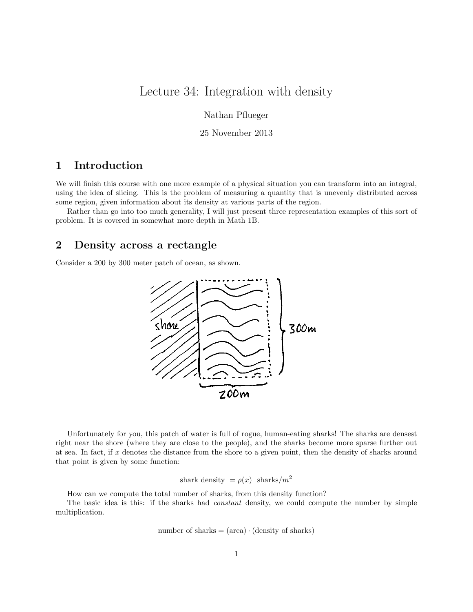# Lecture 34: Integration with density

Nathan Pflueger

25 November 2013

### 1 Introduction

We will finish this course with one more example of a physical situation you can transform into an integral, using the idea of slicing. This is the problem of measuring a quantity that is unevenly distributed across some region, given information about its density at various parts of the region.

Rather than go into too much generality, I will just present three representation examples of this sort of problem. It is covered in somewhat more depth in Math 1B.

#### 2 Density across a rectangle

Consider a 200 by 300 meter patch of ocean, as shown.



Unfortunately for you, this patch of water is full of rogue, human-eating sharks! The sharks are densest right near the shore (where they are close to the people), and the sharks become more sparse further out at sea. In fact, if x denotes the distance from the shore to a given point, then the density of sharks around that point is given by some function:

shark density = 
$$
\rho(x)
$$
 sharks/m<sup>2</sup>

How can we compute the total number of sharks, from this density function?

The basic idea is this: if the sharks had *constant* density, we could compute the number by simple multiplication.

number of sharks = 
$$
(area) \cdot (density \ of \ sharks)
$$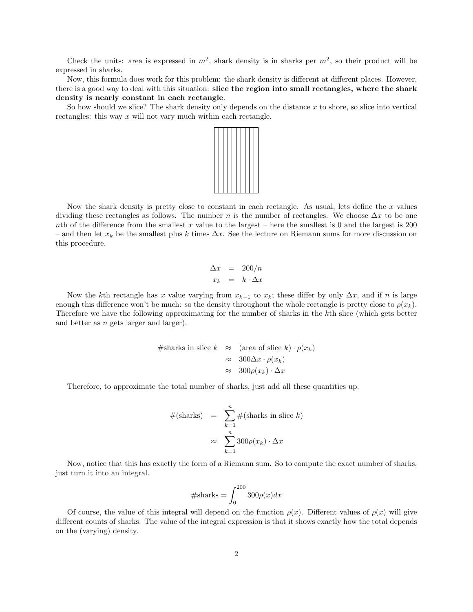Check the units: area is expressed in  $m^2$ , shark density is in sharks per  $m^2$ , so their product will be expressed in sharks.

Now, this formula does work for this problem: the shark density is different at different places. However, there is a good way to deal with this situation: slice the region into small rectangles, where the shark density is nearly constant in each rectangle.

So how should we slice? The shark density only depends on the distance  $x$  to shore, so slice into vertical rectangles: this way  $x$  will not vary much within each rectangle.



Now the shark density is pretty close to constant in each rectangle. As usual, lets define the  $x$  values dividing these rectangles as follows. The number n is the number of rectangles. We choose  $\Delta x$  to be one nth of the difference from the smallest x value to the largest – here the smallest is 0 and the largest is 200 – and then let  $x_k$  be the smallest plus k times  $\Delta x$ . See the lecture on Riemann sums for more discussion on this procedure.

$$
\begin{array}{rcl}\n\Delta x & = & 200/n \\
x_k & = & k \cdot \Delta x\n\end{array}
$$

Now the kth rectangle has x value varying from  $x_{k-1}$  to  $x_k$ ; these differ by only  $\Delta x$ , and if n is large enough this difference won't be much: so the density throughout the whole rectangle is pretty close to  $\rho(x_k)$ . Therefore we have the following approximating for the number of sharks in the kth slice (which gets better and better as n gets larger and larger).

#sharks in slice 
$$
k \approx
$$
 (area of slice  $k) \cdot \rho(x_k)$   
 $\approx 300\Delta x \cdot \rho(x_k)$   
 $\approx 300\rho(x_k) \cdot \Delta x$ 

Therefore, to approximate the total number of sharks, just add all these quantities up.

$$
#(\text{sharks}) = \sum_{k=1}^{n} #(\text{sharks in slice } k)
$$

$$
\approx \sum_{k=1}^{n} 300 \rho(x_k) \cdot \Delta x
$$

Now, notice that this has exactly the form of a Riemann sum. So to compute the exact number of sharks, just turn it into an integral.

$$
\# \text{sharks} = \int_0^{200} 300 \rho(x) dx
$$

Of course, the value of this integral will depend on the function  $\rho(x)$ . Different values of  $\rho(x)$  will give different counts of sharks. The value of the integral expression is that it shows exactly how the total depends on the (varying) density.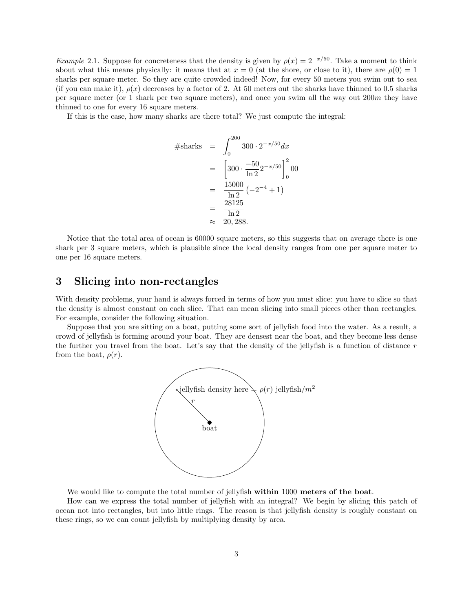*Example* 2.1. Suppose for concreteness that the density is given by  $\rho(x) = 2^{-x/50}$ . Take a moment to think about what this means physically: it means that at  $x = 0$  (at the shore, or close to it), there are  $\rho(0) = 1$ sharks per square meter. So they are quite crowded indeed! Now, for every 50 meters you swim out to sea (if you can make it),  $\rho(x)$  decreases by a factor of 2. At 50 meters out the sharks have thinned to 0.5 sharks per square meter (or 1 shark per two square meters), and once you swim all the way out 200m they have thinned to one for every 16 square meters.

If this is the case, how many sharks are there total? We just compute the integral:

$$
\begin{aligned}\n\#\text{sharks} &= \int_0^{200} 300 \cdot 2^{-x/50} dx \\
&= \left[ 300 \cdot \frac{-50}{\ln 2} 2^{-x/50} \right]_0^2 00 \\
&= \frac{15000}{\ln 2} \left( -2^{-4} + 1 \right) \\
&= \frac{28125}{\ln 2} \\
&\approx 20,288.\n\end{aligned}
$$

Notice that the total area of ocean is 60000 square meters, so this suggests that on average there is one shark per 3 square meters, which is plausible since the local density ranges from one per square meter to one per 16 square meters.

## 3 Slicing into non-rectangles

With density problems, your hand is always forced in terms of how you must slice: you have to slice so that the density is almost constant on each slice. That can mean slicing into small pieces other than rectangles. For example, consider the following situation.

Suppose that you are sitting on a boat, putting some sort of jellyfish food into the water. As a result, a crowd of jellyfish is forming around your boat. They are densest near the boat, and they become less dense the further you travel from the boat. Let's say that the density of the jellyfish is a function of distance  $r$ from the boat,  $\rho(r)$ .



We would like to compute the total number of jellyfish within 1000 meters of the boat.

How can we express the total number of jellyfish with an integral? We begin by slicing this patch of ocean not into rectangles, but into little rings. The reason is that jellyfish density is roughly constant on these rings, so we can count jellyfish by multiplying density by area.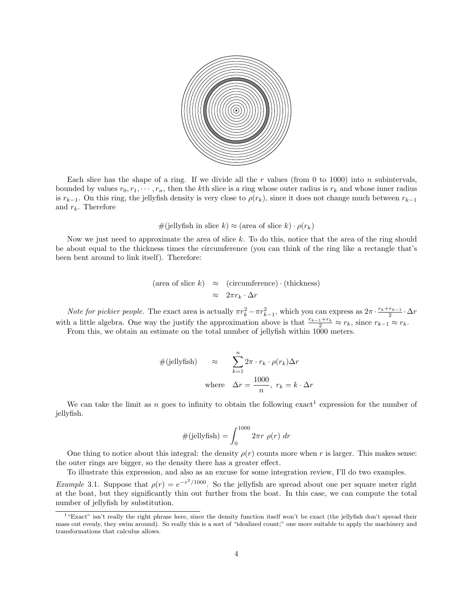

Each slice has the shape of a ring. If we divide all the r values (from 0 to 1000) into n subintervals, bounded by values  $r_0, r_1, \dots, r_n$ , then the kth slice is a ring whose outer radius is  $r_k$  and whose inner radius is  $r_{k-1}$ . On this ring, the jellyfish density is very close to  $\rho(r_k)$ , since it does not change much between  $r_{k-1}$ and  $r_k$ . Therefore

$$
#(jellyfish \text{ in slice } k) \approx (\text{area of slice } k) \cdot \rho(r_k)
$$

Now we just need to approximate the area of slice  $k$ . To do this, notice that the area of the ring should be about equal to the thickness times the circumference (you can think of the ring like a rectangle that's been bent around to link itself). Therefore:

$$
(\text{area of slice } k) \approx (\text{circumference}) \cdot (\text{thickness})
$$

$$
\approx 2\pi r_k \cdot \Delta r
$$

Note for pickier people. The exact area is actually  $\pi r_k^2 - \pi r_{k-1}^2$ , which you can express as  $2\pi \cdot \frac{r_k + r_{k-1}}{2} \cdot \Delta r$ with a little algebra. One way the justify the approximation above is that  $\frac{r_{k-1}+r_k}{2} \approx r_k$ , since  $r_{k-1} \approx r_k$ .

From this, we obtain an estimate on the total number of jellyfish within  $1000$  meters.

$$
\#(\text{jellyfish}) \approx \sum_{k=1}^{n} 2\pi \cdot r_k \cdot \rho(r_k) \Delta r
$$
\n
$$
\text{where} \quad \Delta r = \frac{1000}{n}, \ r_k = k \cdot \Delta r
$$

We can take the limit as n goes to infinity to obtain the following exact<sup>1</sup> expression for the number of jellyfish.

$$
\#(\text{jellyfish}) = \int_0^{1000} 2\pi r \; \rho(r) \; dr
$$

One thing to notice about this integral: the density  $\rho(r)$  counts more when r is larger. This makes sense: the outer rings are bigger, so the density there has a greater effect.

To illustrate this expression, and also as an excuse for some integration review, I'll do two examples.

*Example* 3.1. Suppose that  $\rho(r) = e^{-r^2/1000}$ . So the jellyfish are spread about one per square meter right at the boat, but they significantly thin out further from the boat. In this case, we can compute the total number of jellyfish by substitution.

<sup>&</sup>lt;sup>1</sup>"Exact" isn't really the right phrase here, since the density function itself won't be exact (the jellyfish don't spread their mass out evenly, they swim around). So really this is a sort of "idealized count;" one more suitable to apply the machinery and transformations that calculus allows.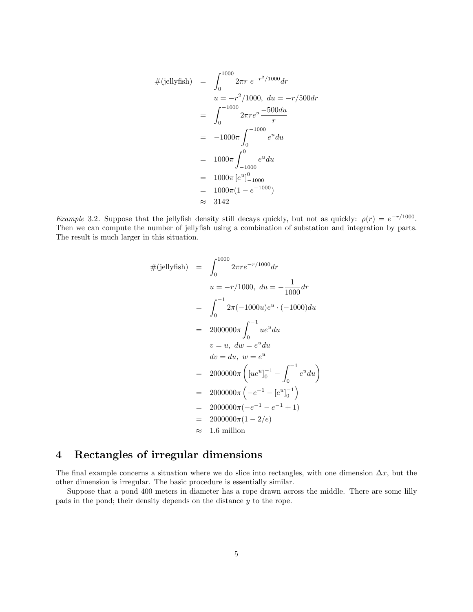$$
\#(\text{jellyfish}) = \int_0^{1000} 2\pi r \ e^{-r^2/1000} dr
$$
  
\n
$$
u = -r^2/1000, \ du = -r/500 dr
$$
  
\n
$$
= \int_0^{-1000} 2\pi r e^u \frac{-500 du}{r}
$$
  
\n
$$
= -1000\pi \int_0^{-1000} e^u du
$$
  
\n
$$
= 1000\pi \int_{-1000}^0 e^u du
$$
  
\n
$$
= 1000\pi [e^u]_{-1000}^0
$$
  
\n
$$
= 1000\pi (1 - e^{-1000})
$$
  
\n
$$
\approx 3142
$$

Example 3.2. Suppose that the jellyfish density still decays quickly, but not as quickly:  $\rho(r) = e^{-r/1000}$ . Then we can compute the number of jellyfish using a combination of substation and integration by parts. The result is much larger in this situation.

$$
\#(\text{jellyfish}) = \int_0^{1000} 2\pi r e^{-r/1000} dr
$$
  
\n
$$
u = -r/1000, du = -\frac{1}{1000} dr
$$
  
\n
$$
= \int_0^{-1} 2\pi (-1000u) e^u \cdot (-1000) du
$$
  
\n
$$
= 2000000\pi \int_0^{-1} ue^u du
$$
  
\n
$$
v = u, dw = e^u du
$$
  
\n
$$
dv = du, w = e^u
$$
  
\n
$$
= 2000000\pi \left( [ue^u]_0^{-1} - \int_0^{-1} e^u du \right)
$$
  
\n
$$
= 2000000\pi \left( -e^{-1} - [e^u]_0^{-1} \right)
$$
  
\n
$$
= 2000000\pi (-e^{-1} - e^{-1} + 1)
$$
  
\n
$$
= 2000000\pi (1 - 2/e)
$$
  
\n
$$
\approx 1.6 \text{ million}
$$

### 4 Rectangles of irregular dimensions

The final example concerns a situation where we do slice into rectangles, with one dimension  $\Delta x$ , but the other dimension is irregular. The basic procedure is essentially similar.

Suppose that a pond 400 meters in diameter has a rope drawn across the middle. There are some lilly pads in the pond; their density depends on the distance y to the rope.